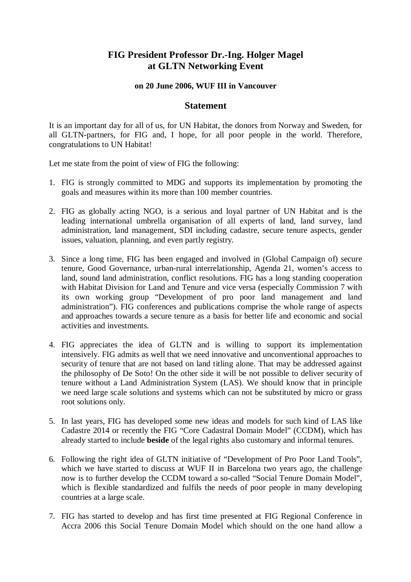## **FIG President Professor Dr.-Ing. Holger Magel at GLTN Networking Event**

## **on 20 June 2006, WUF III in Vancouver**

## **Statement**

It is an important day for all of us, for UN Habitat, the donors from Norway and Sweden, for all GLTN-partners, for FIG and, I hope, for all poor people in the world. Therefore, congratulations to UN Habitat!

Let me state from the point of view of FIG the following:

- 1. FIG is strongly committed to MDG and supports its implementation by promoting the goals and measures within its more than 100 member countries.
- 2. FIG as globally acting NGO, is a serious and loyal partner of UN Habitat and is the leading international umbrella organisation of all experts of land, land survey, land administration, land management, SDI including cadastre, secure tenure aspects, gender issues, valuation, planning, and even partly registry.
- 3. Since a long time, FIG has been engaged and involved in (Global Campaign of) secure tenure, Good Governance, urban-rural interrelationship, Agenda 21, women's access to land, sound land administration, conflict resolutions. FIG has a long standing cooperation with Habitat Division for Land and Tenure and vice versa (especially Commission 7 with its own working group "Development of pro poor land management and land administration"). FIG conferences and publications comprise the whole range of aspects and approaches towards a secure tenure as a basis for better life and economic and social activities and investments.
- 4. FIG appreciates the idea of GLTN and is willing to support its implementation intensively. FIG admits as well that we need innovative and unconventional approaches to security of tenure that are not based on land titling alone. That may be addressed against the philosophy of De Soto! On the other side it will be not possible to deliver security of tenure without a Land Administration System (LAS). We should know that in principle we need large scale solutions and systems which can not be substituted by micro or grass root solutions only.
- 5. In last years, FIG has developed some new ideas and models for such kind of LAS like Cadastre 2014 or recently the FIG "Core Cadastral Domain Model" (CCDM), which has already started to include **beside** of the legal rights also customary and informal tenures.
- 6. Following the right idea of GLTN initiative of "Development of Pro Poor Land Tools", which we have started to discuss at WUF II in Barcelona two years ago, the challenge now is to further develop the CCDM toward a so-called "Social Tenure Domain Model", which is flexible standardized and fulfils the needs of poor people in many developing countries at a large scale.
- 7. FIG has started to develop and has first time presented at FIG Regional Conference in Accra 2006 this Social Tenure Domain Model which should on the one hand allow a